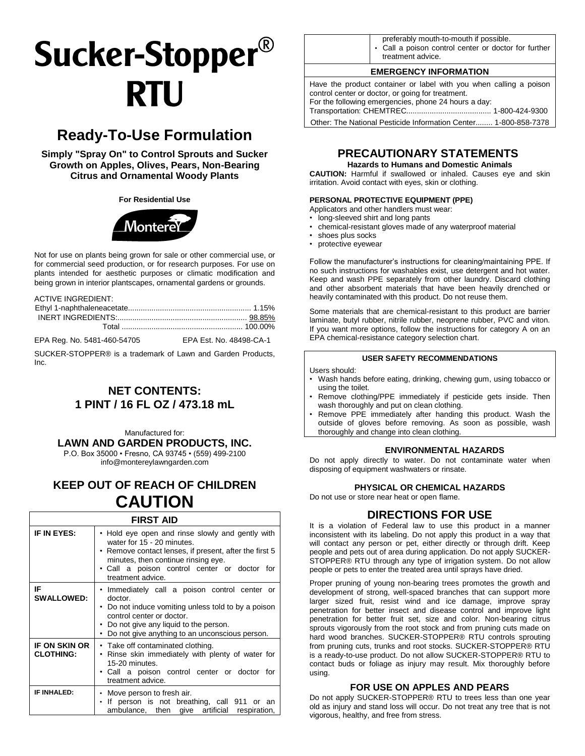# Sucker-Stopper<sup>®</sup> **RTU**

# **Ready-To-Use Formulation**

**Simply "Spray On" to Control Sprouts and Sucker Growth on Apples, Olives, Pears, Non-Bearing Citrus and Ornamental Woody Plants** 

#### **For Residential Use**



Not for use on plants being grown for sale or other commercial use, or for commercial seed production, or for research purposes. For use on plants intended for aesthetic purposes or climatic modification and being grown in interior plantscapes, ornamental gardens or grounds.

ACTIVE INGREDIENT:

EPA Reg. No. 5481-460-54705 EPA Est. No. 48498-CA-1

SUCKER-STOPPER® is a trademark of Lawn and Garden Products, Inc.

# **NET CONTENTS: 1 PINT / 16 FL OZ / 473.18 mL**

Manufactured for: **LAWN AND GARDEN PRODUCTS, INC.**

P.O. Box 35000 • Fresno, CA 93745 • (559) 499-2100 [info@montereylawngarden.com](mailto:info@montereylawngarden.com)

# **KEEP OUT OF REACH OF CHILDREN CAUTION**

# **FIRST AID**

| IF IN EYES:                       | • Hold eye open and rinse slowly and gently with<br>water for 15 - 20 minutes.<br>• Remove contact lenses, if present, after the first 5<br>minutes, then continue rinsing eye.<br>• Call a poison control center or doctor for<br>treatment advice. |  |
|-----------------------------------|------------------------------------------------------------------------------------------------------------------------------------------------------------------------------------------------------------------------------------------------------|--|
| IF<br><b>SWALLOWED:</b>           | • Immediately call a poison control center or<br>doctor.<br>• Do not induce vomiting unless told to by a poison<br>control center or doctor.<br>• Do not give any liquid to the person.<br>• Do not give anything to an unconscious person.          |  |
| IF ON SKIN OR<br><b>CLOTHING:</b> | • Take off contaminated clothing.<br>• Rinse skin immediately with plenty of water for<br>15-20 minutes.<br>• Call a poison control center or doctor for<br>treatment advice.                                                                        |  |
| <b>IF INHALED:</b>                | • Move person to fresh air.<br>If person is not breathing, call 911 or an<br>ambulance, then give artificial respiration,                                                                                                                            |  |

| preferably mouth-to-mouth if possible.                     |
|------------------------------------------------------------|
|                                                            |
| $\cdot$ Call a poison control center or doctor for further |
|                                                            |
|                                                            |
| treatment advice.                                          |

#### **EMERGENCY INFORMATION**

Have the product container or label with you when calling a poison control center or doctor, or going for treatment. For the following emergencies, phone 24 hours a day: Transportation: CHEMTREC........................................ 1-800-424-9300 Other: The National Pesticide Information Center........ 1-800-858-7378

**PRECAUTIONARY STATEMENTS**

### **Hazards to Humans and Domestic Animals**

**CAUTION:** Harmful if swallowed or inhaled. Causes eye and skin irritation. Avoid contact with eyes, skin or clothing.

#### **PERSONAL PROTECTIVE EQUIPMENT (PPE)**

Applicators and other handlers must wear:

- long-sleeved shirt and long pants
- chemical-resistant gloves made of any waterproof material
- shoes plus socks
- protective eyewear

Follow the manufacturer's instructions for cleaning/maintaining PPE. If no such instructions for washables exist, use detergent and hot water. Keep and wash PPE separately from other laundry. Discard clothing and other absorbent materials that have been heavily drenched or heavily contaminated with this product. Do not reuse them.

Some materials that are chemical-resistant to this product are barrier laminate, butyl rubber, nitrile rubber, neoprene rubber, PVC and viton. If you want more options, follow the instructions for category A on an EPA chemical-resistance category selection chart.

#### **USER SAFETY RECOMMENDATIONS**

Users should:

- Wash hands before eating, drinking, chewing gum, using tobacco or using the toilet.
- Remove clothing/PPE immediately if pesticide gets inside. Then wash thoroughly and put on clean clothing.
- Remove PPE immediately after handing this product. Wash the outside of gloves before removing. As soon as possible, wash thoroughly and change into clean clothing.

#### **ENVIRONMENTAL HAZARDS**

Do not apply directly to water. Do not contaminate water when disposing of equipment washwaters or rinsate.

#### **PHYSICAL OR CHEMICAL HAZARDS**

Do not use or store near heat or open flame.

## **DIRECTIONS FOR USE**

It is a violation of Federal law to use this product in a manner inconsistent with its labeling. Do not apply this product in a way that will contact any person or pet, either directly or through drift. Keep people and pets out of area during application. Do not apply SUCKER-STOPPER® RTU through any type of irrigation system. Do not allow people or pets to enter the treated area until sprays have dried.

Proper pruning of young non-bearing trees promotes the growth and development of strong, well-spaced branches that can support more larger sized fruit, resist wind and ice damage, improve spray penetration for better insect and disease control and improve light penetration for better fruit set, size and color. Non-bearing citrus sprouts vigorously from the root stock and from pruning cuts made on hard wood branches. SUCKER-STOPPER® RTU controls sprouting from pruning cuts, trunks and root stocks. SUCKER-STOPPER® RTU is a ready-to-use product. Do not allow SUCKER-STOPPER® RTU to contact buds or foliage as injury may result. Mix thoroughly before using.

#### **FOR USE ON APPLES AND PEARS**

Do not apply SUCKER-STOPPER® RTU to trees less than one year old as injury and stand loss will occur. Do not treat any tree that is not vigorous, healthy, and free from stress.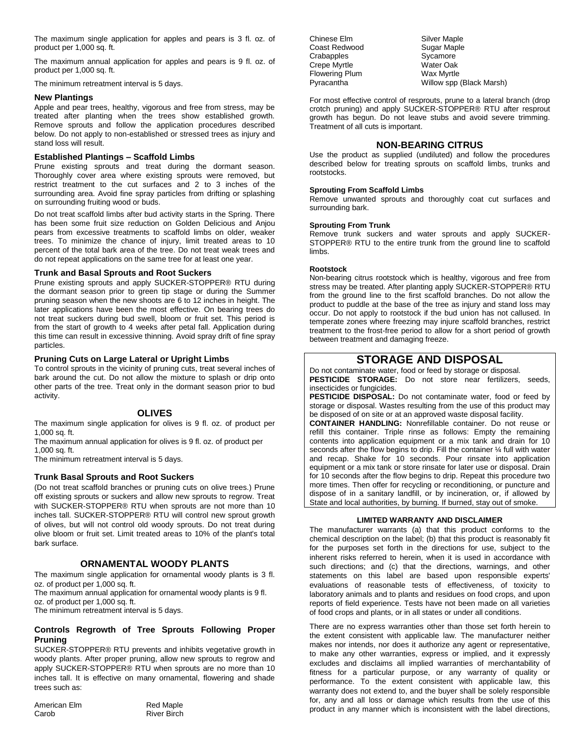The maximum single application for apples and pears is 3 fl. oz. of product per 1,000 sq. ft.

The maximum annual application for apples and pears is 9 fl. oz. of product per 1,000 sq. ft.

The minimum retreatment interval is 5 days.

#### **New Plantings**

Apple and pear trees, healthy, vigorous and free from stress, may be treated after planting when the trees show established growth. Remove sprouts and follow the application procedures described below. Do not apply to non-established or stressed trees as injury and stand loss will result.

#### **Established Plantings – Scaffold Limbs**

Prune existing sprouts and treat during the dormant season. Thoroughly cover area where existing sprouts were removed, but restrict treatment to the cut surfaces and 2 to 3 inches of the surrounding area. Avoid fine spray particles from drifting or splashing on surrounding fruiting wood or buds.

Do not treat scaffold limbs after bud activity starts in the Spring. There has been some fruit size reduction on Golden Delicious and Anjou pears from excessive treatments to scaffold limbs on older, weaker trees. To minimize the chance of injury, limit treated areas to 10 percent of the total bark area of the tree. Do not treat weak trees and do not repeat applications on the same tree for at least one year.

#### **Trunk and Basal Sprouts and Root Suckers**

Prune existing sprouts and apply SUCKER-STOPPER® RTU during the dormant season prior to green tip stage or during the Summer pruning season when the new shoots are 6 to 12 inches in height. The later applications have been the most effective. On bearing trees do not treat suckers during bud swell, bloom or fruit set. This period is from the start of growth to 4 weeks after petal fall. Application during this time can result in excessive thinning. Avoid spray drift of fine spray particles.

#### **Pruning Cuts on Large Lateral or Upright Limbs**

To control sprouts in the vicinity of pruning cuts, treat several inches of bark around the cut. Do not allow the mixture to splash or drip onto other parts of the tree. Treat only in the dormant season prior to bud activity.

#### **OLIVES**

The maximum single application for olives is 9 fl. oz. of product per 1,000 sq. ft.

The maximum annual application for olives is 9 fl. oz. of product per 1,000 sq. ft.

The minimum retreatment interval is 5 days.

#### **Trunk Basal Sprouts and Root Suckers**

(Do not treat scaffold branches or pruning cuts on olive trees.) Prune off existing sprouts or suckers and allow new sprouts to regrow. Treat with SUCKER-STOPPER® RTU when sprouts are not more than 10 inches tall. SUCKER-STOPPER® RTU will control new sprout growth of olives, but will not control old woody sprouts. Do not treat during olive bloom or fruit set. Limit treated areas to 10% of the plant's total bark surface.

#### **ORNAMENTAL WOODY PLANTS**

The maximum single application for ornamental woody plants is 3 fl. oz. of product per 1,000 sq. ft.

The maximum annual application for ornamental woody plants is 9 fl. oz. of product per 1,000 sq. ft.

The minimum retreatment interval is 5 days.

#### **Controls Regrowth of Tree Sprouts Following Proper Pruning**

SUCKER-STOPPER® RTU prevents and inhibits vegetative growth in woody plants. After proper pruning, allow new sprouts to regrow and apply SUCKER-STOPPER® RTU when sprouts are no more than 10 inches tall. It is effective on many ornamental, flowering and shade trees such as:

| American Elm | <b>Red Maple</b>   |
|--------------|--------------------|
| Carob        | <b>River Birch</b> |

Chinese Elm Silver Maple Coast Redwood **Sugar Maple**<br>Crabapples Crabapples Crabapples Crepe Myrtle North Water Oak<br>Flowering Plum Nax Myrtle Flowering Plum

Pyracantha Willow spp (Black Marsh)

For most effective control of resprouts, prune to a lateral branch (drop crotch pruning) and apply SUCKER-STOPPER® RTU after resprout growth has begun. Do not leave stubs and avoid severe trimming. Treatment of all cuts is important.

#### **NON-BEARING CITRUS**

Use the product as supplied (undiluted) and follow the procedures described below for treating sprouts on scaffold limbs, trunks and rootstocks.

#### **Sprouting From Scaffold Limbs**

Remove unwanted sprouts and thoroughly coat cut surfaces and surrounding bark.

#### **Sprouting From Trunk**

Remove trunk suckers and water sprouts and apply SUCKER-STOPPER® RTU to the entire trunk from the ground line to scaffold limbs.

#### **Rootstock**

Non-bearing citrus rootstock which is healthy, vigorous and free from stress may be treated. After planting apply SUCKER-STOPPER® RTU from the ground line to the first scaffold branches. Do not allow the product to puddle at the base of the tree as injury and stand loss may occur. Do not apply to rootstock if the bud union has not callused. In temperate zones where freezing may injure scaffold branches, restrict treatment to the frost-free period to allow for a short period of growth between treatment and damaging freeze.

## **STORAGE AND DISPOSAL**

Do not contaminate water, food or feed by storage or disposal. **PESTICIDE STORAGE:** Do not store near fertilizers, seeds, insecticides or fungicides.

**PESTICIDE DISPOSAL:** Do not contaminate water, food or feed by storage or disposal. Wastes resulting from the use of this product may be disposed of on site or at an approved waste disposal facility.

**CONTAINER HANDLING:** Nonrefillable container. Do not reuse or refill this container. Triple rinse as follows: Empty the remaining contents into application equipment or a mix tank and drain for 10 seconds after the flow begins to drip. Fill the container 1/4 full with water and recap. Shake for 10 seconds. Pour rinsate into application equipment or a mix tank or store rinsate for later use or disposal. Drain for 10 seconds after the flow begins to drip. Repeat this procedure two more times. Then offer for recycling or reconditioning, or puncture and dispose of in a sanitary landfill, or by incineration, or, if allowed by State and local authorities, by burning. If burned, stay out of smoke.

#### **LIMITED WARRANTY AND DISCLAIMER**

The manufacturer warrants (a) that this product conforms to the chemical description on the label; (b) that this product is reasonably fit for the purposes set forth in the directions for use, subject to the inherent risks referred to herein, when it is used in accordance with such directions; and (c) that the directions, warnings, and other statements on this label are based upon responsible experts' evaluations of reasonable tests of effectiveness, of toxicity to laboratory animals and to plants and residues on food crops, and upon reports of field experience. Tests have not been made on all varieties of food crops and plants, or in all states or under all conditions.

There are no express warranties other than those set forth herein to the extent consistent with applicable law. The manufacturer neither makes nor intends, nor does it authorize any agent or representative, to make any other warranties, express or implied, and it expressly excludes and disclaims all implied warranties of merchantability of fitness for a particular purpose, or any warranty of quality or performance. To the extent consistent with applicable law, this warranty does not extend to, and the buyer shall be solely responsible for, any and all loss or damage which results from the use of this product in any manner which is inconsistent with the label directions,